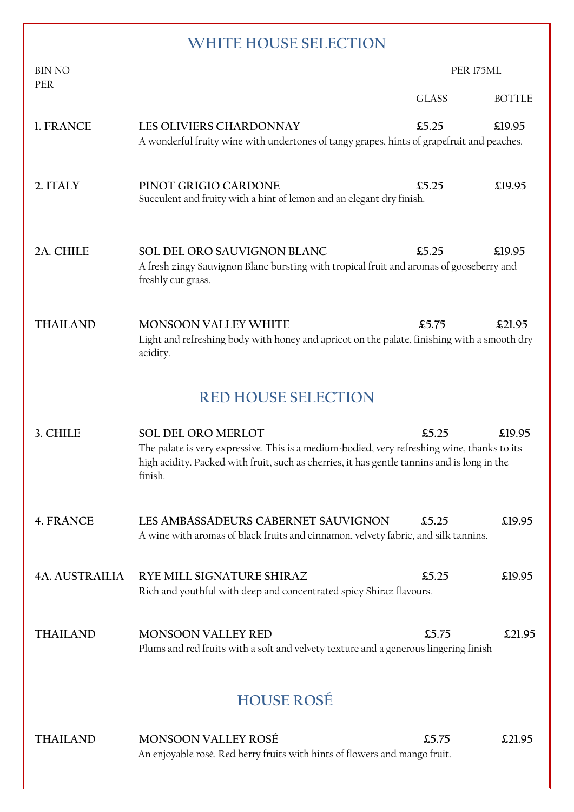# **WHITE HOUSE SELECTION**

| <b>BIN NO</b>              |                                                                                                                                                                                                                                    | PER 175ML    |               |
|----------------------------|------------------------------------------------------------------------------------------------------------------------------------------------------------------------------------------------------------------------------------|--------------|---------------|
| PER                        |                                                                                                                                                                                                                                    | <b>GLASS</b> | <b>BOTTLE</b> |
| 1. FRANCE                  | <b>LES OLIVIERS CHARDONNAY</b><br>A wonderful fruity wine with undertones of tangy grapes, hints of grapefruit and peaches.                                                                                                        | £5.25        | £19.95        |
| 2. ITALY                   | PINOT GRIGIO CARDONE<br>Succulent and fruity with a hint of lemon and an elegant dry finish.                                                                                                                                       | £5.25        | \$19.95       |
| 2A. CHILE                  | SOL DEL ORO SAUVIGNON BLANC<br>A fresh zingy Sauvignon Blanc bursting with tropical fruit and aromas of gooseberry and<br>freshly cut grass.                                                                                       | \$5.25       | £19.95        |
| <b>THAILAND</b>            | <b>MONSOON VALLEY WHITE</b><br>Light and refreshing body with honey and apricot on the palate, finishing with a smooth dry<br>acidity.                                                                                             | \$5.75       | £21.95        |
| <b>RED HOUSE SELECTION</b> |                                                                                                                                                                                                                                    |              |               |
| 3. CHILE                   | <b>SOL DEL ORO MERLOT</b><br>The palate is very expressive. This is a medium-bodied, very refreshing wine, thanks to its<br>high acidity. Packed with fruit, such as cherries, it has gentle tannins and is long in the<br>finish. | £5.25        | £19.95        |
| 4. FRANCE                  | LES AMBASSADEURS CABERNET SAUVIGNON<br>A wine with aromas of black fruits and cinnamon, velvety fabric, and silk tannins.                                                                                                          | £5.25        | £19.95        |
| <b>4A. AUSTRAILIA</b>      | RYE MILL SIGNATURE SHIRAZ<br>Rich and youthful with deep and concentrated spicy Shiraz flavours.                                                                                                                                   | £5.25        | £19.95        |
| <b>THAILAND</b>            | <b>MONSOON VALLEY RED</b><br>Plums and red fruits with a soft and velvety texture and a generous lingering finish                                                                                                                  | \$5.75       | £21.95        |
| <b>HOUSE ROSÉ</b>          |                                                                                                                                                                                                                                    |              |               |
| <b>THAILAND</b>            | <b>MONSOON VALLEY ROSÉ</b><br>An enjoyable rosé. Red berry fruits with hints of flowers and mango fruit.                                                                                                                           | \$5.75       | £21.95        |